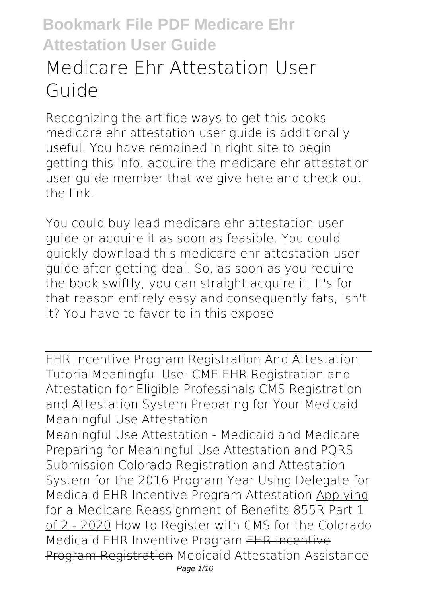# **Medicare Ehr Attestation User Guide**

Recognizing the artifice ways to get this books **medicare ehr attestation user guide** is additionally useful. You have remained in right site to begin getting this info. acquire the medicare ehr attestation user guide member that we give here and check out the link.

You could buy lead medicare ehr attestation user guide or acquire it as soon as feasible. You could quickly download this medicare ehr attestation user guide after getting deal. So, as soon as you require the book swiftly, you can straight acquire it. It's for that reason entirely easy and consequently fats, isn't it? You have to favor to in this expose

EHR Incentive Program Registration And Attestation Tutorial**Meaningful Use: CME EHR Registration and Attestation for Eligible Professinals** *CMS Registration and Attestation System Preparing for Your Medicaid Meaningful Use Attestation*

Meaningful Use Attestation - Medicaid and Medicare *Preparing for Meaningful Use Attestation and PQRS Submission Colorado Registration and Attestation System for the 2016 Program Year* Using Delegate for Medicaid EHR Incentive Program Attestation Applying for a Medicare Reassignment of Benefits 855R Part 1 of 2 - 2020 *How to Register with CMS for the Colorado Medicaid EHR Inventive Program* EHR Incentive Program Registration *Medicaid Attestation Assistance* Page 1/16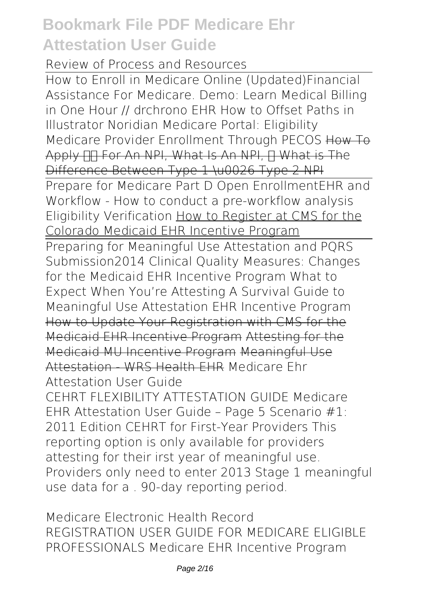*Review of Process and Resources*

How to Enroll in Medicare Online (Updated)**Financial Assistance For Medicare. Demo: Learn Medical Billing in One Hour // drchrono EHR How to Offset Paths in Illustrator** Noridian Medicare Portal: Eligibility **Medicare Provider Enrollment Through PECOS** How To Apply FIT For An NPI, What Is An NPI, IT What is The Difference Between Type 1 \u0026 Type 2 NPI

Prepare for Medicare Part D Open Enrollment*EHR and Workflow - How to conduct a pre-workflow analysis* **Eligibility Verification** How to Register at CMS for the Colorado Medicaid EHR Incentive Program

Preparing for Meaningful Use Attestation and PQRS Submission*2014 Clinical Quality Measures: Changes for the Medicaid EHR Incentive Program* **What to Expect When You're Attesting A Survival Guide to Meaningful Use Attestation** *EHR Incentive Program* How to Update Your Registration with CMS for the Medicaid EHR Incentive Program Attesting for the Medicaid MU Incentive Program Meaningful Use Attestation - WRS Health EHR *Medicare Ehr Attestation User Guide*

CEHRT FLEXIBILITY ATTESTATION GUIDE Medicare EHR Attestation User Guide – Page 5 Scenario #1: 2011 Edition CEHRT for First-Year Providers This reporting option is only available for providers attesting for their irst year of meaningful use. Providers only need to enter 2013 Stage 1 meaningful use data for a . 90-day reporting period.

*Medicare Electronic Health Record* REGISTRATION USER GUIDE FOR MEDICARE ELIGIBLE PROFESSIONALS Medicare EHR Incentive Program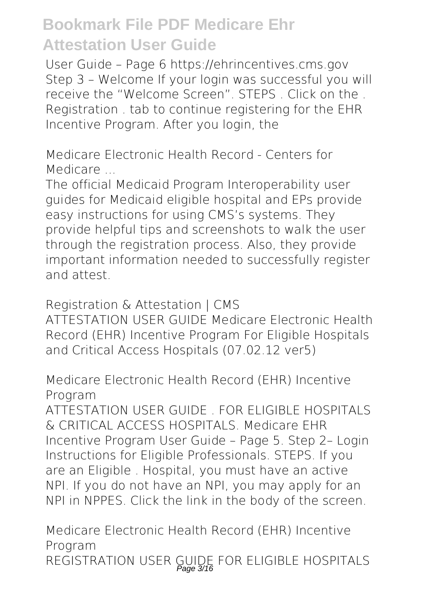User Guide – Page 6 https://ehrincentives.cms.gov Step 3 – Welcome If your login was successful you will receive the "Welcome Screen". STEPS . Click on the . Registration . tab to continue registering for the EHR Incentive Program. After you login, the

*Medicare Electronic Health Record - Centers for Medicare ...*

The official Medicaid Program Interoperability user guides for Medicaid eligible hospital and EPs provide easy instructions for using CMS's systems. They provide helpful tips and screenshots to walk the user through the registration process. Also, they provide important information needed to successfully register and attest.

*Registration & Attestation | CMS* ATTESTATION USER GUIDE Medicare Electronic Health Record (EHR) Incentive Program For Eligible Hospitals and Critical Access Hospitals (07.02.12 ver5)

*Medicare Electronic Health Record (EHR) Incentive Program*

ATTESTATION USER GUIDE FOR FLIGIBLE HOSPITALS & CRITICAL ACCESS HOSPITALS. Medicare EHR Incentive Program User Guide – Page 5. Step 2– Login Instructions for Eligible Professionals. STEPS. If you are an Eligible . Hospital, you must have an active NPI. If you do not have an NPI, you may apply for an NPI in NPPES. Click the link in the body of the screen.

*Medicare Electronic Health Record (EHR) Incentive Program* REGISTRATION USER GUIDE FOR ELIGIBLE HOSPITALS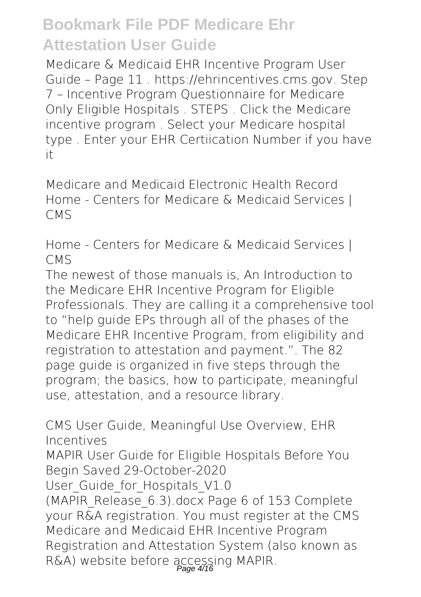Medicare & Medicaid EHR Incentive Program User Guide – Page 11 . https://ehrincentives.cms.gov. Step 7 – Incentive Program Questionnaire for Medicare Only Eligible Hospitals . STEPS . Click the Medicare incentive program . Select your Medicare hospital type . Enter your EHR Certiication Number if you have it

*Medicare and Medicaid Electronic Health Record* Home - Centers for Medicare & Medicaid Services | CMS

*Home - Centers for Medicare & Medicaid Services | CMS*

The newest of those manuals is, An Introduction to the Medicare EHR Incentive Program for Eligible Professionals. They are calling it a comprehensive tool to "help guide EPs through all of the phases of the Medicare EHR Incentive Program, from eligibility and registration to attestation and payment.". The 82 page guide is organized in five steps through the program; the basics, how to participate, meaningful use, attestation, and a resource library.

*CMS User Guide, Meaningful Use Overview, EHR Incentives*

MAPIR User Guide for Eligible Hospitals Before You Begin Saved 29-October-2020

User Guide for Hospitals V1.0

(MAPIR\_Release\_6.3).docx Page 6 of 153 Complete your R&A registration. You must register at the CMS Medicare and Medicaid EHR Incentive Program Registration and Attestation System (also known as R&A) website before accessing MAPIR.<br>Page 4/16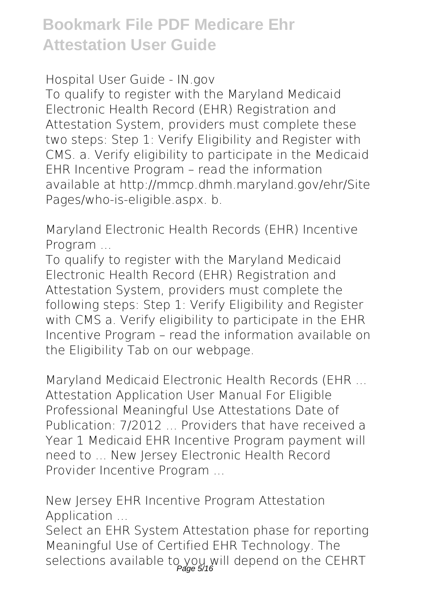*Hospital User Guide - IN.gov*

To qualify to register with the Maryland Medicaid Electronic Health Record (EHR) Registration and Attestation System, providers must complete these two steps: Step 1: Verify Eligibility and Register with CMS. a. Verify eligibility to participate in the Medicaid EHR Incentive Program – read the information available at http://mmcp.dhmh.maryland.gov/ehr/Site Pages/who-is-eligible.aspx. b.

*Maryland Electronic Health Records (EHR) Incentive Program ...*

To qualify to register with the Maryland Medicaid Electronic Health Record (EHR) Registration and Attestation System, providers must complete the following steps: Step 1: Verify Eligibility and Register with CMS a. Verify eligibility to participate in the EHR Incentive Program – read the information available on the Eligibility Tab on our webpage.

*Maryland Medicaid Electronic Health Records (EHR ...* Attestation Application User Manual For Eligible Professional Meaningful Use Attestations Date of Publication: 7/2012 ... Providers that have received a Year 1 Medicaid EHR Incentive Program payment will need to ... New Jersey Electronic Health Record Provider Incentive Program ...

*New Jersey EHR Incentive Program Attestation Application ...*

Select an EHR System Attestation phase for reporting Meaningful Use of Certified EHR Technology. The selections available to you will depend on the CEHRT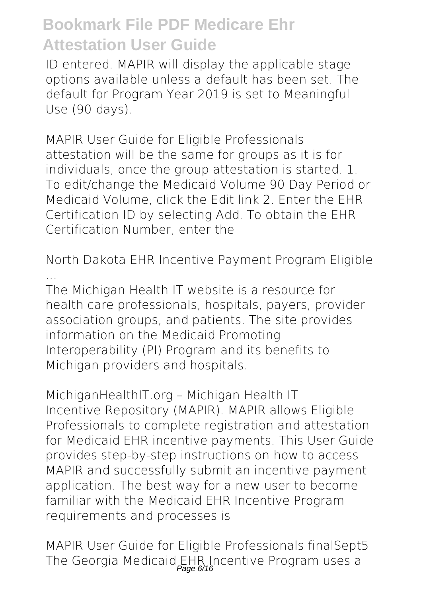ID entered. MAPIR will display the applicable stage options available unless a default has been set. The default for Program Year 2019 is set to Meaningful Use (90 days).

*MAPIR User Guide for Eligible Professionals* attestation will be the same for groups as it is for individuals, once the group attestation is started. 1. To edit/change the Medicaid Volume 90 Day Period or Medicaid Volume, click the Edit link 2. Enter the EHR Certification ID by selecting Add. To obtain the EHR Certification Number, enter the

*North Dakota EHR Incentive Payment Program Eligible ...*

The Michigan Health IT website is a resource for health care professionals, hospitals, payers, provider association groups, and patients. The site provides information on the Medicaid Promoting Interoperability (PI) Program and its benefits to Michigan providers and hospitals.

*MichiganHealthIT.org – Michigan Health IT* Incentive Repository (MAPIR). MAPIR allows Eligible Professionals to complete registration and attestation for Medicaid EHR incentive payments. This User Guide provides step-by-step instructions on how to access MAPIR and successfully submit an incentive payment application. The best way for a new user to become familiar with the Medicaid EHR Incentive Program requirements and processes is

*MAPIR User Guide for Eligible Professionals finalSept5* The Georgia Medicaid EHR Incentive Program uses a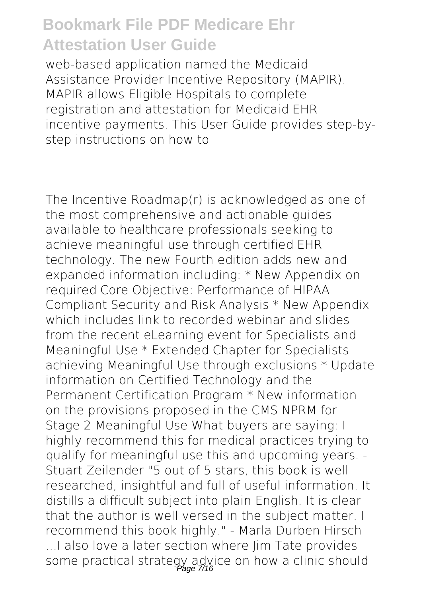web-based application named the Medicaid Assistance Provider Incentive Repository (MAPIR). MAPIR allows Eligible Hospitals to complete registration and attestation for Medicaid EHR incentive payments. This User Guide provides step-bystep instructions on how to

The Incentive Roadmap(r) is acknowledged as one of the most comprehensive and actionable guides available to healthcare professionals seeking to achieve meaningful use through certified EHR technology. The new Fourth edition adds new and expanded information including: \* New Appendix on required Core Objective: Performance of HIPAA Compliant Security and Risk Analysis \* New Appendix which includes link to recorded webinar and slides from the recent eLearning event for Specialists and Meaningful Use \* Extended Chapter for Specialists achieving Meaningful Use through exclusions \* Update information on Certified Technology and the Permanent Certification Program \* New information on the provisions proposed in the CMS NPRM for Stage 2 Meaningful Use What buyers are saying: I highly recommend this for medical practices trying to qualify for meaningful use this and upcoming years. - Stuart Zeilender "5 out of 5 stars, this book is well researched, insightful and full of useful information. It distills a difficult subject into plain English. It is clear that the author is well versed in the subject matter. I recommend this book highly." - Marla Durben Hirsch ...I also love a later section where Jim Tate provides some practical strategy advice on how a clinic should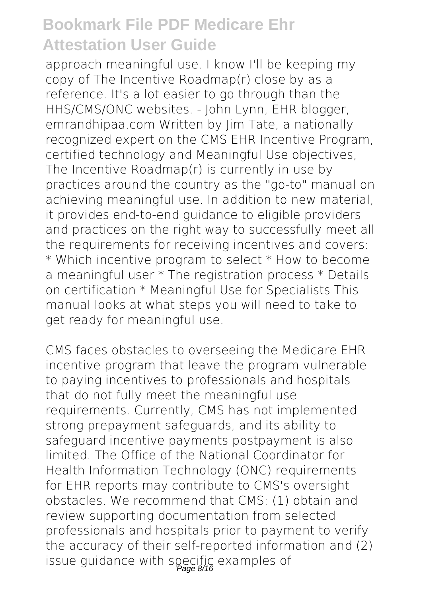approach meaningful use. I know I'll be keeping my copy of The Incentive Roadmap(r) close by as a reference. It's a lot easier to go through than the HHS/CMS/ONC websites. - John Lynn, EHR blogger, emrandhipaa.com Written by Jim Tate, a nationally recognized expert on the CMS EHR Incentive Program, certified technology and Meaningful Use objectives, The Incentive Roadmap(r) is currently in use by practices around the country as the "go-to" manual on achieving meaningful use. In addition to new material, it provides end-to-end guidance to eligible providers and practices on the right way to successfully meet all the requirements for receiving incentives and covers: \* Which incentive program to select \* How to become a meaningful user \* The registration process \* Details on certification \* Meaningful Use for Specialists This manual looks at what steps you will need to take to get ready for meaningful use.

CMS faces obstacles to overseeing the Medicare EHR incentive program that leave the program vulnerable to paying incentives to professionals and hospitals that do not fully meet the meaningful use requirements. Currently, CMS has not implemented strong prepayment safeguards, and its ability to safeguard incentive payments postpayment is also limited. The Office of the National Coordinator for Health Information Technology (ONC) requirements for EHR reports may contribute to CMS's oversight obstacles. We recommend that CMS: (1) obtain and review supporting documentation from selected professionals and hospitals prior to payment to verify the accuracy of their self-reported information and (2) issue guidance with specific examples of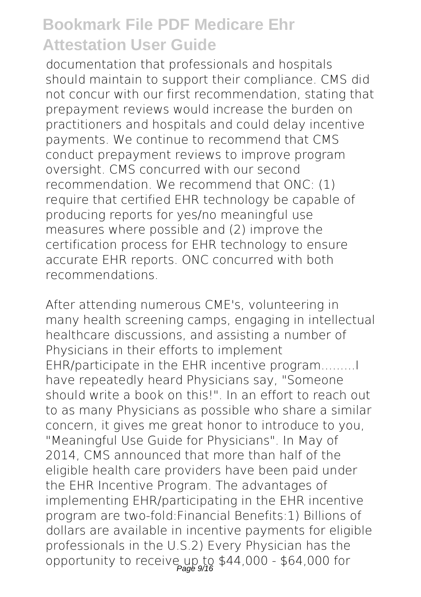documentation that professionals and hospitals should maintain to support their compliance. CMS did not concur with our first recommendation, stating that prepayment reviews would increase the burden on practitioners and hospitals and could delay incentive payments. We continue to recommend that CMS conduct prepayment reviews to improve program oversight. CMS concurred with our second recommendation. We recommend that ONC: (1) require that certified EHR technology be capable of producing reports for yes/no meaningful use measures where possible and (2) improve the certification process for EHR technology to ensure accurate EHR reports. ONC concurred with both recommendations.

After attending numerous CME's, volunteering in many health screening camps, engaging in intellectual healthcare discussions, and assisting a number of Physicians in their efforts to implement EHR/participate in the EHR incentive program......... have repeatedly heard Physicians say, "Someone should write a book on this!" In an effort to reach out to as many Physicians as possible who share a similar concern, it gives me great honor to introduce to you, "Meaningful Use Guide for Physicians". In May of 2014, CMS announced that more than half of the eligible health care providers have been paid under the EHR Incentive Program. The advantages of implementing EHR/participating in the EHR incentive program are two-fold:Financial Benefits:1) Billions of dollars are available in incentive payments for eligible professionals in the U.S.2) Every Physician has the opportunity to receive up to \$44,000 - \$64,000 for<br>Page 9/16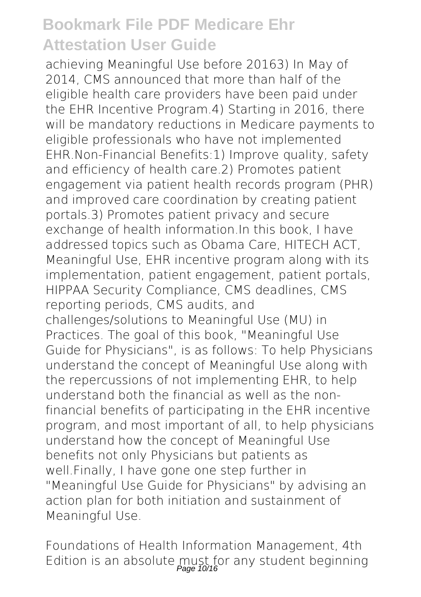achieving Meaningful Use before 20163) In May of 2014, CMS announced that more than half of the eligible health care providers have been paid under the EHR Incentive Program.4) Starting in 2016, there will be mandatory reductions in Medicare payments to eligible professionals who have not implemented EHR.Non-Financial Benefits:1) Improve quality, safety and efficiency of health care.2) Promotes patient engagement via patient health records program (PHR) and improved care coordination by creating patient portals.3) Promotes patient privacy and secure exchange of health information.In this book, I have addressed topics such as Obama Care, HITECH ACT, Meaningful Use, EHR incentive program along with its implementation, patient engagement, patient portals, HIPPAA Security Compliance, CMS deadlines, CMS reporting periods, CMS audits, and challenges/solutions to Meaningful Use (MU) in Practices. The goal of this book, "Meaningful Use Guide for Physicians", is as follows: To help Physicians understand the concept of Meaningful Use along with the repercussions of not implementing EHR, to help understand both the financial as well as the nonfinancial benefits of participating in the EHR incentive program, and most important of all, to help physicians understand how the concept of Meaningful Use benefits not only Physicians but patients as well.Finally, I have gone one step further in "Meaningful Use Guide for Physicians" by advising an action plan for both initiation and sustainment of Meaningful Use.

Foundations of Health Information Management, 4th Edition is an absolute must for any student beginning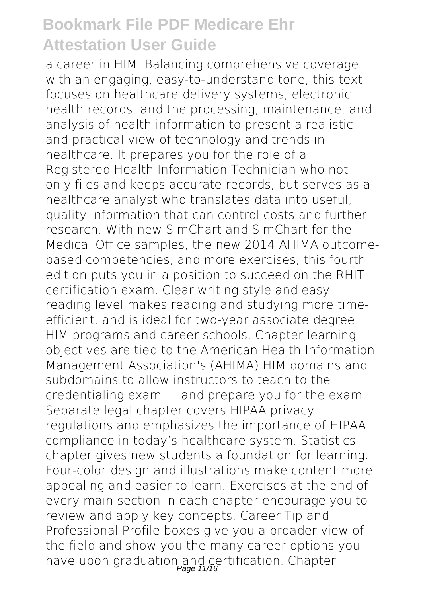a career in HIM. Balancing comprehensive coverage with an engaging, easy-to-understand tone, this text focuses on healthcare delivery systems, electronic health records, and the processing, maintenance, and analysis of health information to present a realistic and practical view of technology and trends in healthcare. It prepares you for the role of a Registered Health Information Technician who not only files and keeps accurate records, but serves as a healthcare analyst who translates data into useful, quality information that can control costs and further research. With new SimChart and SimChart for the Medical Office samples, the new 2014 AHIMA outcomebased competencies, and more exercises, this fourth edition puts you in a position to succeed on the RHIT certification exam. Clear writing style and easy reading level makes reading and studying more timeefficient, and is ideal for two-year associate degree HIM programs and career schools. Chapter learning objectives are tied to the American Health Information Management Association's (AHIMA) HIM domains and subdomains to allow instructors to teach to the credentialing exam — and prepare you for the exam. Separate legal chapter covers HIPAA privacy regulations and emphasizes the importance of HIPAA compliance in today's healthcare system. Statistics chapter gives new students a foundation for learning. Four-color design and illustrations make content more appealing and easier to learn. Exercises at the end of every main section in each chapter encourage you to review and apply key concepts. Career Tip and Professional Profile boxes give you a broader view of the field and show you the many career options you have upon graduation and certification. Chapter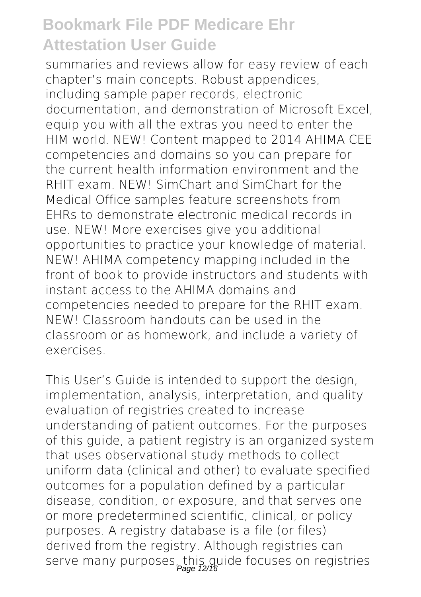summaries and reviews allow for easy review of each chapter's main concepts. Robust appendices, including sample paper records, electronic documentation, and demonstration of Microsoft Excel, equip you with all the extras you need to enter the HIM world. NEW! Content mapped to 2014 AHIMA CEE competencies and domains so you can prepare for the current health information environment and the RHIT exam. NEW! SimChart and SimChart for the Medical Office samples feature screenshots from EHRs to demonstrate electronic medical records in use. NEW! More exercises give you additional opportunities to practice your knowledge of material. NEW! AHIMA competency mapping included in the front of book to provide instructors and students with instant access to the AHIMA domains and competencies needed to prepare for the RHIT exam. NEW! Classroom handouts can be used in the classroom or as homework, and include a variety of exercises.

This User's Guide is intended to support the design, implementation, analysis, interpretation, and quality evaluation of registries created to increase understanding of patient outcomes. For the purposes of this guide, a patient registry is an organized system that uses observational study methods to collect uniform data (clinical and other) to evaluate specified outcomes for a population defined by a particular disease, condition, or exposure, and that serves one or more predetermined scientific, clinical, or policy purposes. A registry database is a file (or files) derived from the registry. Although registries can serve many purposes, this guide focuses on registries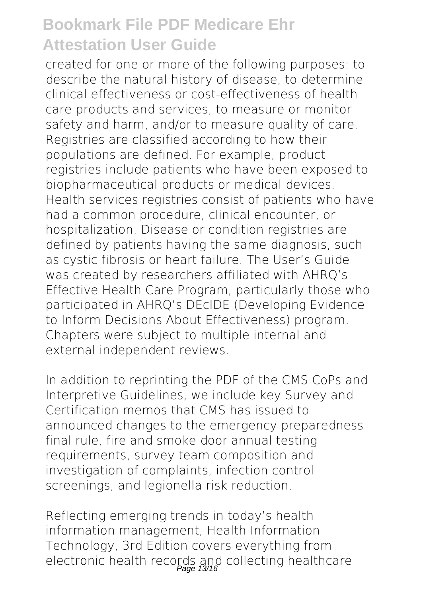created for one or more of the following purposes: to describe the natural history of disease, to determine clinical effectiveness or cost-effectiveness of health care products and services, to measure or monitor safety and harm, and/or to measure quality of care. Registries are classified according to how their populations are defined. For example, product registries include patients who have been exposed to biopharmaceutical products or medical devices. Health services registries consist of patients who have had a common procedure, clinical encounter, or hospitalization. Disease or condition registries are defined by patients having the same diagnosis, such as cystic fibrosis or heart failure. The User's Guide was created by researchers affiliated with AHRQ's Effective Health Care Program, particularly those who participated in AHRQ's DEcIDE (Developing Evidence to Inform Decisions About Effectiveness) program. Chapters were subject to multiple internal and external independent reviews.

In addition to reprinting the PDF of the CMS CoPs and Interpretive Guidelines, we include key Survey and Certification memos that CMS has issued to announced changes to the emergency preparedness final rule, fire and smoke door annual testing requirements, survey team composition and investigation of complaints, infection control screenings, and legionella risk reduction.

Reflecting emerging trends in today's health information management, Health Information Technology, 3rd Edition covers everything from electronic health records and collecting healthcare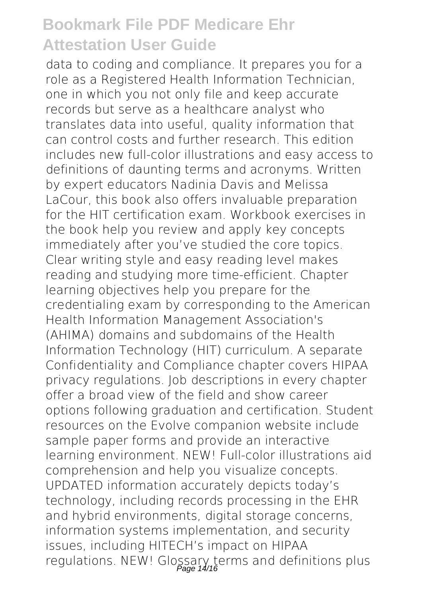data to coding and compliance. It prepares you for a role as a Registered Health Information Technician, one in which you not only file and keep accurate records but serve as a healthcare analyst who translates data into useful, quality information that can control costs and further research. This edition includes new full-color illustrations and easy access to definitions of daunting terms and acronyms. Written by expert educators Nadinia Davis and Melissa LaCour, this book also offers invaluable preparation for the HIT certification exam. Workbook exercises in the book help you review and apply key concepts immediately after you've studied the core topics. Clear writing style and easy reading level makes reading and studying more time-efficient. Chapter learning objectives help you prepare for the credentialing exam by corresponding to the American Health Information Management Association's (AHIMA) domains and subdomains of the Health Information Technology (HIT) curriculum. A separate Confidentiality and Compliance chapter covers HIPAA privacy regulations. Job descriptions in every chapter offer a broad view of the field and show career options following graduation and certification. Student resources on the Evolve companion website include sample paper forms and provide an interactive learning environment. NEW! Full-color illustrations aid comprehension and help you visualize concepts. UPDATED information accurately depicts today's technology, including records processing in the EHR and hybrid environments, digital storage concerns, information systems implementation, and security issues, including HITECH's impact on HIPAA regulations. NEW! Glossary terms and definitions plus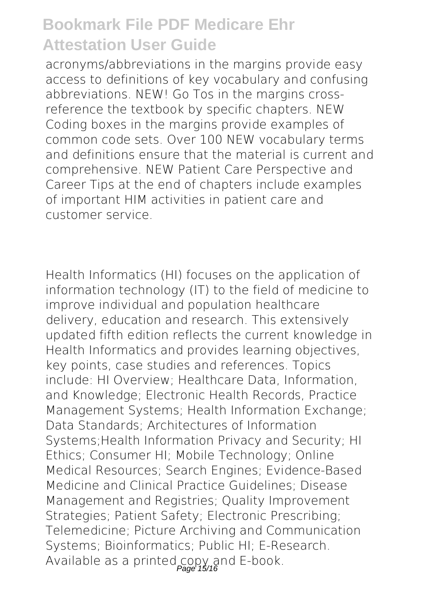acronyms/abbreviations in the margins provide easy access to definitions of key vocabulary and confusing abbreviations. NEW! Go Tos in the margins crossreference the textbook by specific chapters. NEW Coding boxes in the margins provide examples of common code sets. Over 100 NEW vocabulary terms and definitions ensure that the material is current and comprehensive. NEW Patient Care Perspective and Career Tips at the end of chapters include examples of important HIM activities in patient care and customer service.

Health Informatics (HI) focuses on the application of information technology (IT) to the field of medicine to improve individual and population healthcare delivery, education and research. This extensively updated fifth edition reflects the current knowledge in Health Informatics and provides learning objectives, key points, case studies and references. Topics include: HI Overview; Healthcare Data, Information, and Knowledge; Electronic Health Records, Practice Management Systems; Health Information Exchange; Data Standards; Architectures of Information Systems;Health Information Privacy and Security; HI Ethics; Consumer HI; Mobile Technology; Online Medical Resources; Search Engines; Evidence-Based Medicine and Clinical Practice Guidelines; Disease Management and Registries; Quality Improvement Strategies; Patient Safety; Electronic Prescribing; Telemedicine; Picture Archiving and Communication Systems; Bioinformatics; Public HI; E-Research. Available as a printed copy and E-book.<br>Page 15/16